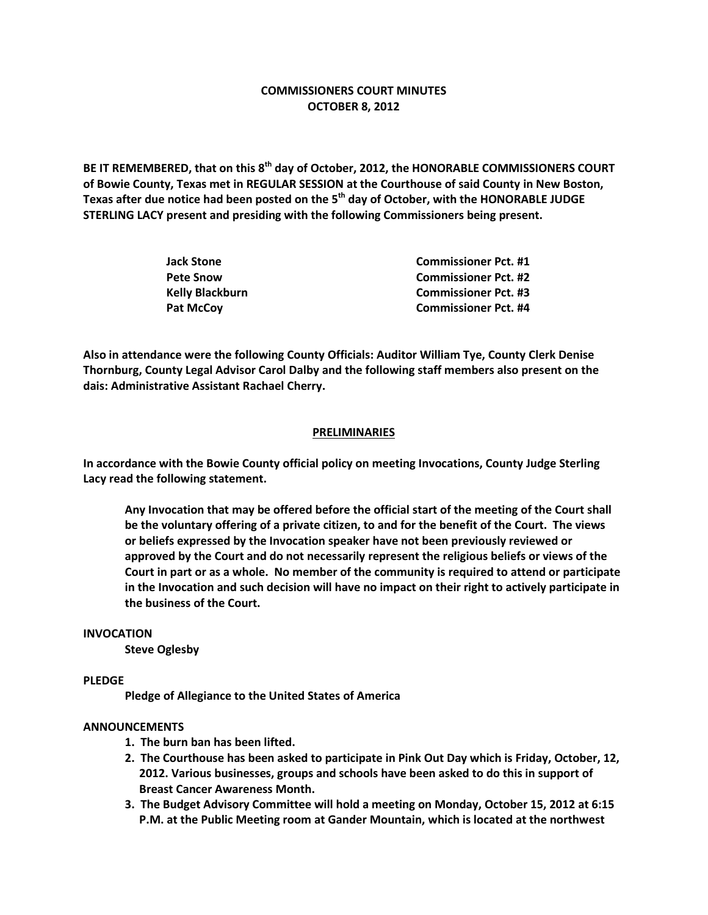# **COMMISSIONERS COURT MINUTES OCTOBER 8, 2012**

**BE IT REMEMBERED, that on this 8th day of October, 2012, the HONORABLE COMMISSIONERS COURT of Bowie County, Texas met in REGULAR SESSION at the Courthouse of said County in New Boston, Texas after due notice had been posted on the 5th day of October, with the HONORABLE JUDGE STERLING LACY present and presiding with the following Commissioners being present.**

| Jack Stone      | <b>Commissioner Pct. #1</b> |
|-----------------|-----------------------------|
| Pete Snow       | <b>Commissioner Pct. #2</b> |
| Kelly Blackburn | <b>Commissioner Pct. #3</b> |
| Pat McCoy       | <b>Commissioner Pct. #4</b> |

**Also in attendance were the following County Officials: Auditor William Tye, County Clerk Denise Thornburg, County Legal Advisor Carol Dalby and the following staff members also present on the dais: Administrative Assistant Rachael Cherry.**

#### **PRELIMINARIES**

**In accordance with the Bowie County official policy on meeting Invocations, County Judge Sterling Lacy read the following statement.**

**Any Invocation that may be offered before the official start of the meeting of the Court shall be the voluntary offering of a private citizen, to and for the benefit of the Court. The views or beliefs expressed by the Invocation speaker have not been previously reviewed or approved by the Court and do not necessarily represent the religious beliefs or views of the Court in part or as a whole. No member of the community is required to attend or participate in the Invocation and such decision will have no impact on their right to actively participate in the business of the Court.**

#### **INVOCATION**

**Steve Oglesby**

### **PLEDGE**

**Pledge of Allegiance to the United States of America**

### **ANNOUNCEMENTS**

- **1. The burn ban has been lifted.**
- **2. The Courthouse has been asked to participate in Pink Out Day which is Friday, October, 12, 2012. Various businesses, groups and schools have been asked to do this in support of Breast Cancer Awareness Month.**
- **3. The Budget Advisory Committee will hold a meeting on Monday, October 15, 2012 at 6:15 P.M. at the Public Meeting room at Gander Mountain, which is located at the northwest**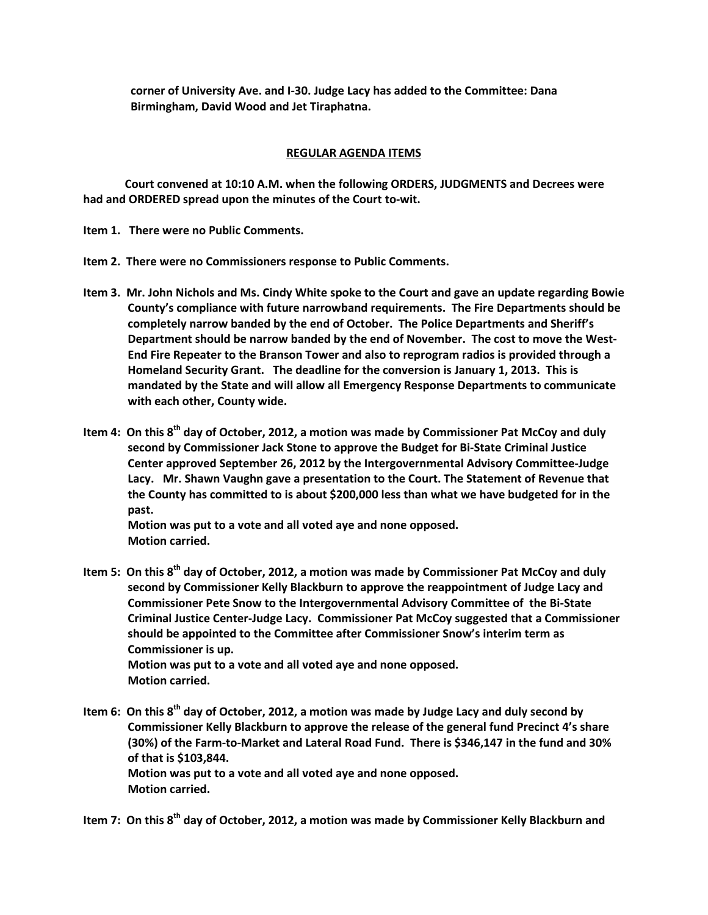**corner of University Ave. and I-30. Judge Lacy has added to the Committee: Dana Birmingham, David Wood and Jet Tiraphatna.**

## **REGULAR AGENDA ITEMS**

**Court convened at 10:10 A.M. when the following ORDERS, JUDGMENTS and Decrees were had and ORDERED spread upon the minutes of the Court to-wit.**

**Item 1. There were no Public Comments.**

- **Item 2. There were no Commissioners response to Public Comments.**
- **Item 3. Mr. John Nichols and Ms. Cindy White spoke to the Court and gave an update regarding Bowie County's compliance with future narrowband requirements. The Fire Departments should be completely narrow banded by the end of October. The Police Departments and Sheriff's Department should be narrow banded by the end of November. The cost to move the West-End Fire Repeater to the Branson Tower and also to reprogram radios is provided through a Homeland Security Grant. The deadline for the conversion is January 1, 2013. This is mandated by the State and will allow all Emergency Response Departments to communicate with each other, County wide.**
- **Item 4: On this 8th day of October, 2012, a motion was made by Commissioner Pat McCoy and duly second by Commissioner Jack Stone to approve the Budget for Bi-State Criminal Justice Center approved September 26, 2012 by the Intergovernmental Advisory Committee-Judge Lacy. Mr. Shawn Vaughn gave a presentation to the Court. The Statement of Revenue that the County has committed to is about \$200,000 less than what we have budgeted for in the past.**

**Motion was put to a vote and all voted aye and none opposed. Motion carried.**

- **Item 5: On this 8th day of October, 2012, a motion was made by Commissioner Pat McCoy and duly second by Commissioner Kelly Blackburn to approve the reappointment of Judge Lacy and Commissioner Pete Snow to the Intergovernmental Advisory Committee of the Bi-State Criminal Justice Center-Judge Lacy. Commissioner Pat McCoy suggested that a Commissioner should be appointed to the Committee after Commissioner Snow's interim term as Commissioner is up. Motion was put to a vote and all voted aye and none opposed. Motion carried.**
- **Item 6: On this 8th day of October, 2012, a motion was made by Judge Lacy and duly second by Commissioner Kelly Blackburn to approve the release of the general fund Precinct 4's share (30%) of the Farm-to-Market and Lateral Road Fund. There is \$346,147 in the fund and 30% of that is \$103,844. Motion was put to a vote and all voted aye and none opposed. Motion carried.**
- **Item 7: On this 8th day of October, 2012, a motion was made by Commissioner Kelly Blackburn and**